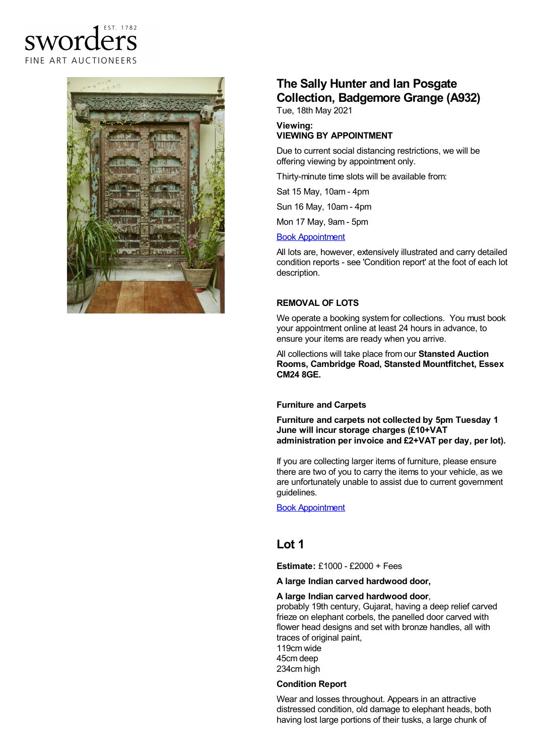



# **The Sally Hunter and Ian Posgate Collection, Badgemore Grange (A932)**

Tue, 18th May 2021

#### **Viewing: VIEWING BY APPOINTMENT**

Due to current social distancing restrictions, we will be offering viewing by appointment only.

Thirty-minute time slots will be available from:

Sat 15 May, 10am - 4pm

Sun 16 May, 10am - 4pm

Mon 17 May, 9am - 5pm

#### Book [Appointment](https://www.sworder.co.uk/appointments/)

All lots are, however, extensively illustrated and carry detailed condition reports - see 'Condition report' at the foot of each lot description.

### **REMOVAL OF LOTS**

We operate a booking system for collections. You must book your appointment online at least 24 hours in advance, to ensure your items are ready when you arrive.

All collections will take place from our **Stansted Auction Rooms, Cambridge Road, Stansted Mountfitchet, Essex CM24 8GE.**

## **Furniture and Carpets**

**Furniture and carpets not collected by 5pm Tuesday 1 June will incur storage charges (£10+VAT administration per invoice and £2+VAT per day, per lot).**

If you are collecting larger items of furniture, please ensure there are two of you to carry the items to your vehicle, as we are unfortunately unable to assist due to current government guidelines.

Book [Appointment](https://www.sworder.co.uk/appointments/)

# **Lot 1**

**Estimate:** £1000 - £2000 + Fees

**A large Indian carved hardwood door,**

### **A large Indian carved hardwood door**,

probably 19th century, Gujarat, having a deep relief carved frieze on elephant corbels, the panelled door carved with flower head designs and set with bronze handles, all with traces of original paint, 119cm wide 45cm deep

234cm high

### **Condition Report**

Wear and losses throughout. Appears in an attractive distressed condition, old damage to elephant heads, both having lost large portions of their tusks, a large chunk of